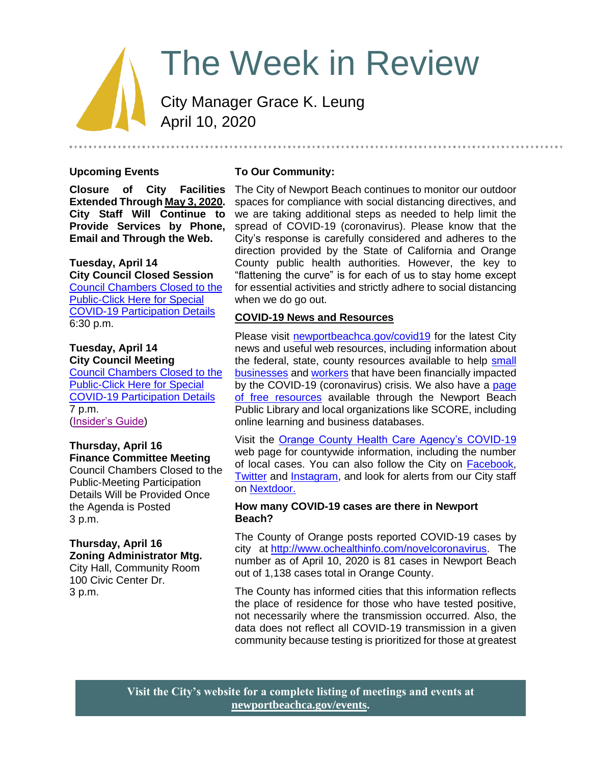# The Week in Review

City Manager Grace K. Leung April 10, 2020

# **Upcoming Events**

**Closure of City Facilities Extended Through May 3, 2020. City Staff Will Continue to Provide Services by Phone, Email and Through the Web.**

# **Tuesday, April 14**

**City Council Closed Session** [Council Chambers Closed to the](https://newportbeachca.gov/Home/Components/Calendar/Event/54202/72)  [Public-Click Here for Special](https://newportbeachca.gov/Home/Components/Calendar/Event/54202/72)  COVID-19 [Participation Details](https://newportbeachca.gov/Home/Components/Calendar/Event/54202/72) 6:30 p.m.

#### **Tuesday, April 14 City Council Meeting**

[Council Chambers Closed to the](https://newportbeachca.gov/Home/Components/Calendar/Event/54202/72)  [Public-Click Here for Special](https://newportbeachca.gov/Home/Components/Calendar/Event/54202/72)  [COVID-19 Participation Details](https://newportbeachca.gov/Home/Components/Calendar/Event/54202/72) 7 p.m. [\(Insider's Guide\)](https://newportbeachca.gov/government/departments/city-manager-s-office/insider-s-guide)

#### **Thursday, April 16 Finance Committee Meeting**

Council Chambers Closed to the Public-Meeting Participation Details Will be Provided Once the Agenda is Posted 3 p.m.

#### **Thursday, April 16 Zoning Administrator Mtg.** City Hall, Community Room

100 Civic Center Dr. 3 p.m.

# **To Our Community:**

The City of Newport Beach continues to monitor our outdoor spaces for compliance with social distancing directives, and we are taking additional steps as needed to help limit the spread of COVID-19 (coronavirus). Please know that the City's response is carefully considered and adheres to the direction provided by the State of California and Orange County public health authorities. However, the key to "flattening the curve" is for each of us to stay home except for essential activities and strictly adhere to social distancing when we do go out.

# **COVID-19 News and Resources**

Please visit [newportbeachca.gov/covid19](https://www.newportbeachca.gov/how-do-i/find/disaster-preparedness-information/disease-outbreak/-fsiteid-1) for the latest City news and useful web resources, including information about the federal, state, county resources available to help small [businesses](https://www.newportbeachca.gov/government/departments/city-manager/economic-development/small-business-support) and [workers](https://www.newportbeachca.gov/government/departments/city-manager/economic-development/support-for-employees) that have been financially impacted by the COVID-19 (coronavirus) crisis. We also have a page [of free resources](https://www.newportbeachca.gov/government/departments/city-manager/economic-development/small-business-support/business-employee-resources) available through the Newport Beach Public Library and local organizations like SCORE, including online learning and business databases.

Visit the [Orange County Health Care Agency's COVID-19](https://www.ochealthinfo.com/phs/about/epidasmt/epi/dip/prevention/novel_coronavirus) web page for countywide information, including the number of local cases. You can also follow the City on [Facebook,](https://www.facebook.com/pg/CityofNewportBeach) [Twitter](https://twitter.com/newportbeachgov) and [Instagram,](https://www.instagram.com/cityofnewportbeach/) and look for alerts from our City staff on [Nextdoor.](https://nextdoor.com/agency/city-of-newport-beach/?i=ltdytbjdbdkntfqttgcm)

#### **How many COVID-19 cases are there in Newport Beach?**

The County of Orange posts reported COVID-19 cases by city at [http://www.ochealthinfo.com/novelcoronavirus.](http://www.ochealthinfo.com/novelcoronavirus) The number as of April 10, 2020 is 81 cases in Newport Beach out of 1,138 cases total in Orange County.

The County has informed cities that this information reflects the place of residence for those who have tested positive, not necessarily where the transmission occurred. Also, the data does not reflect all COVID-19 transmission in a given community because testing is prioritized for those at greatest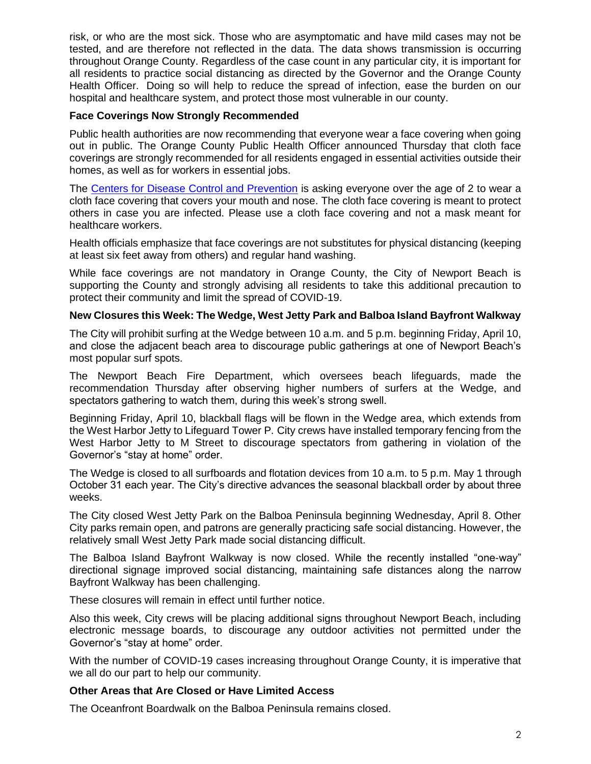risk, or who are the most sick. Those who are asymptomatic and have mild cases may not be tested, and are therefore not reflected in the data. The data shows transmission is occurring throughout Orange County. Regardless of the case count in any particular city, it is important for all residents to practice social distancing as directed by the Governor and the Orange County Health Officer. Doing so will help to reduce the spread of infection, ease the burden on our hospital and healthcare system, and protect those most vulnerable in our county.

### **Face Coverings Now Strongly Recommended**

Public health authorities are now recommending that everyone wear a face covering when going out in public. The Orange County Public Health Officer announced Thursday that cloth face coverings are strongly recommended for all residents engaged in essential activities outside their homes, as well as for workers in essential jobs.

The [Centers for Disease Control and Prevention](https://www.cdc.gov/coronavirus/2019-ncov/prevent-getting-sick/cloth-face-cover.html) is asking everyone over the age of 2 to wear a cloth face covering that covers your mouth and nose. The cloth face covering is meant to protect others in case you are infected. Please use a cloth face covering and not a mask meant for healthcare workers.

Health officials emphasize that face coverings are not substitutes for physical distancing (keeping at least six feet away from others) and regular hand washing.

While face coverings are not mandatory in Orange County, the City of Newport Beach is supporting the County and strongly advising all residents to take this additional precaution to protect their community and limit the spread of COVID-19.

#### **New Closures this Week: The Wedge, West Jetty Park and Balboa Island Bayfront Walkway**

The City will prohibit surfing at the Wedge between 10 a.m. and 5 p.m. beginning Friday, April 10, and close the adjacent beach area to discourage public gatherings at one of Newport Beach's most popular surf spots.

The Newport Beach Fire Department, which oversees beach lifeguards, made the recommendation Thursday after observing higher numbers of surfers at the Wedge, and spectators gathering to watch them, during this week's strong swell.

Beginning Friday, April 10, blackball flags will be flown in the Wedge area, which extends from the West Harbor Jetty to Lifeguard Tower P. City crews have installed temporary fencing from the West Harbor Jetty to M Street to discourage spectators from gathering in violation of the Governor's "stay at home" order.

The Wedge is closed to all surfboards and flotation devices from 10 a.m. to 5 p.m. May 1 through October 31 each year. The City's directive advances the seasonal blackball order by about three weeks.

The City closed West Jetty Park on the Balboa Peninsula beginning Wednesday, April 8. Other City parks remain open, and patrons are generally practicing safe social distancing. However, the relatively small West Jetty Park made social distancing difficult.

The Balboa Island Bayfront Walkway is now closed. While the recently installed "one-way" directional signage improved social distancing, maintaining safe distances along the narrow Bayfront Walkway has been challenging.

These closures will remain in effect until further notice.

Also this week, City crews will be placing additional signs throughout Newport Beach, including electronic message boards, to discourage any outdoor activities not permitted under the Governor's "stay at home" order.

With the number of COVID-19 cases increasing throughout Orange County, it is imperative that we all do our part to help our community.

# **Other Areas that Are Closed or Have Limited Access**

The Oceanfront Boardwalk on the Balboa Peninsula remains closed.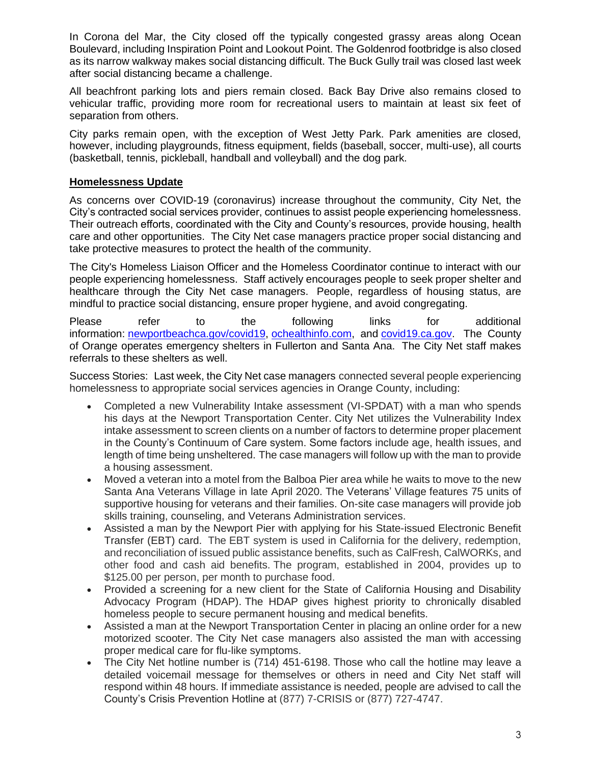In Corona del Mar, the City closed off the typically congested grassy areas along Ocean Boulevard, including Inspiration Point and Lookout Point. The Goldenrod footbridge is also closed as its narrow walkway makes social distancing difficult. The Buck Gully trail was closed last week after social distancing became a challenge.

All beachfront parking lots and piers remain closed. Back Bay Drive also remains closed to vehicular traffic, providing more room for recreational users to maintain at least six feet of separation from others.

City parks remain open, with the exception of West Jetty Park. Park amenities are closed, however, including playgrounds, fitness equipment, fields (baseball, soccer, multi-use), all courts (basketball, tennis, pickleball, handball and volleyball) and the dog park.

# **Homelessness Update**

As concerns over COVID-19 (coronavirus) increase throughout the community, City Net, the City's contracted social services provider, continues to assist people experiencing homelessness. Their outreach efforts, coordinated with the City and County's resources, provide housing, health care and other opportunities. The City Net case managers practice proper social distancing and take protective measures to protect the health of the community.

The City's Homeless Liaison Officer and the Homeless Coordinator continue to interact with our people experiencing homelessness. Staff actively encourages people to seek proper shelter and healthcare through the City Net case managers. People, regardless of housing status, are mindful to practice social distancing, ensure proper hygiene, and avoid congregating.

Please refer to the following links for additional information: [newportbeachca.gov/covid19,](http://newportbeachca.gov/covid19) [ochealthinfo.com,](http://ochealthinfo.com/) and [covid19.ca.gov.](http://covid19.ca.gov/) The County of Orange operates emergency shelters in Fullerton and Santa Ana. The City Net staff makes referrals to these shelters as well.

Success Stories: Last week, the City Net case managers connected several people experiencing homelessness to appropriate social services agencies in Orange County, including:

- Completed a new Vulnerability Intake assessment (VI-SPDAT) with a man who spends his days at the Newport Transportation Center. City Net utilizes the Vulnerability Index intake assessment to screen clients on a number of factors to determine proper placement in the County's Continuum of Care system. Some factors include age, health issues, and length of time being unsheltered. The case managers will follow up with the man to provide a housing assessment.
- Moved a veteran into a motel from the Balboa Pier area while he waits to move to the new Santa Ana Veterans Village in late April 2020. The Veterans' Village features 75 units of supportive housing for veterans and their families. On-site case managers will provide job skills training, counseling, and Veterans Administration services.
- Assisted a man by the Newport Pier with applying for his State-issued Electronic Benefit Transfer (EBT) card. The EBT system is used in California for the delivery, redemption, and reconciliation of issued public assistance benefits, such as CalFresh, CalWORKs, and other food and cash aid benefits. The program, established in 2004, provides up to \$125.00 per person, per month to purchase food.
- Provided a screening for a new client for the State of California Housing and Disability Advocacy Program (HDAP). The HDAP gives highest priority to chronically disabled homeless people to secure permanent housing and medical benefits.
- Assisted a man at the Newport Transportation Center in placing an online order for a new motorized scooter. The City Net case managers also assisted the man with accessing proper medical care for flu-like symptoms.
- The City Net hotline number is (714) 451-6198. Those who call the hotline may leave a detailed voicemail message for themselves or others in need and City Net staff will respond within 48 hours. If immediate assistance is needed, people are advised to call the County's Crisis Prevention Hotline at (877) 7-CRISIS or (877) 727-4747.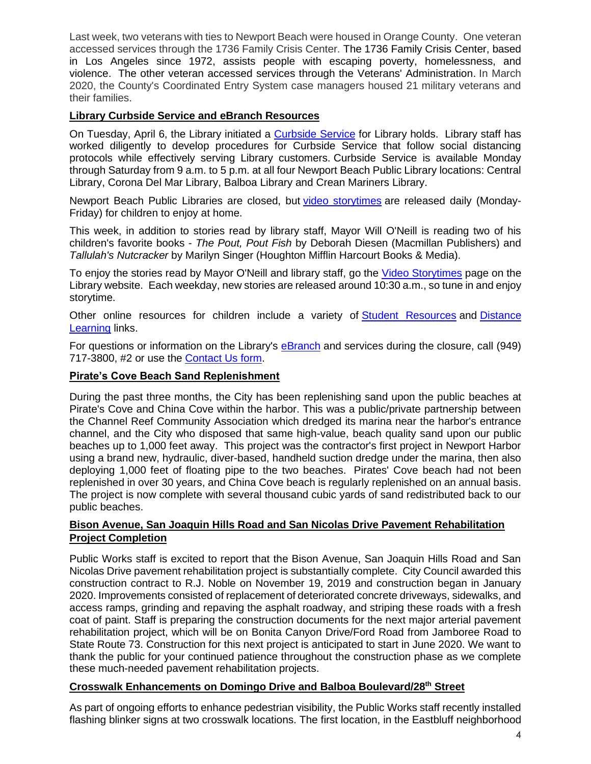Last week, two veterans with ties to Newport Beach were housed in Orange County. One veteran accessed services through the 1736 Family Crisis Center. The 1736 Family Crisis Center, based in Los Angeles since 1972, assists people with escaping poverty, homelessness, and violence. The other veteran accessed services through the Veterans' Administration. In March 2020, the County's Coordinated Entry System case managers housed 21 military veterans and their families.

# **Library Curbside Service and eBranch Resources**

On Tuesday, April 6, the Library initiated a [Curbside Service](https://www.newportbeachlibrary.org/about/library-closure-faq) for Library holds. Library staff has worked diligently to develop procedures for Curbside Service that follow social distancing protocols while effectively serving Library customers. Curbside Service is available Monday through Saturday from 9 a.m. to 5 p.m. at all four Newport Beach Public Library locations: Central Library, Corona Del Mar Library, Balboa Library and Crean Mariners Library.

Newport Beach Public Libraries are closed, but video [storytimes](https://www.newportbeachlibrary.org/children/stories-and-games/video-storytimes) are released daily (Monday-Friday) for children to enjoy at home.

This week, in addition to stories read by library staff, Mayor Will O'Neill is reading two of his children's favorite books - *The Pout, Pout Fish* by Deborah Diesen (Macmillan Publishers) and *Tallulah's Nutcracker* by Marilyn Singer (Houghton Mifflin Harcourt Books & Media).

To enjoy the stories read by Mayor O'Neill and library staff, go the [Video Storytimes](https://www.newportbeachlibrary.org/children/stories-and-games/video-storytimes) page on the Library website. Each weekday, new stories are released around 10:30 a.m., so tune in and enjoy storytime.

Other online resources for children include a variety of [Student Resources](https://www.newportbeachlibrary.org/children/databases-for-kids) and [Distance](https://www.newportbeachlibrary.org/children/student-resources/distance-learning-20608)  [Learning](https://www.newportbeachlibrary.org/children/student-resources/distance-learning-20608) links.

For questions or information on the Library's [eBranch](https://www.newportbeachlibrary.org/ebranch) and services during the closure, call (949) 717-3800, #2 or use the [Contact Us form.](https://www.newportbeachlibrary.org/about/contact-us)

# **Pirate's Cove Beach Sand Replenishment**

During the past three months, the City has been replenishing sand upon the public beaches at Pirate's Cove and China Cove within the harbor. This was a public/private partnership between the Channel Reef Community Association which dredged its marina near the harbor's entrance channel, and the City who disposed that same high-value, beach quality sand upon our public beaches up to 1,000 feet away. This project was the contractor's first project in Newport Harbor using a brand new, hydraulic, diver-based, handheld suction dredge under the marina, then also deploying 1,000 feet of floating pipe to the two beaches. Pirates' Cove beach had not been replenished in over 30 years, and China Cove beach is regularly replenished on an annual basis. The project is now complete with several thousand cubic yards of sand redistributed back to our public beaches.

# **Bison Avenue, San Joaquin Hills Road and San Nicolas Drive Pavement Rehabilitation Project Completion**

Public Works staff is excited to report that the Bison Avenue, San Joaquin Hills Road and San Nicolas Drive pavement rehabilitation project is substantially complete. City Council awarded this construction contract to R.J. Noble on November 19, 2019 and construction began in January 2020. Improvements consisted of replacement of deteriorated concrete driveways, sidewalks, and access ramps, grinding and repaving the asphalt roadway, and striping these roads with a fresh coat of paint. Staff is preparing the construction documents for the next major arterial pavement rehabilitation project, which will be on Bonita Canyon Drive/Ford Road from Jamboree Road to State Route 73. Construction for this next project is anticipated to start in June 2020. We want to thank the public for your continued patience throughout the construction phase as we complete these much-needed pavement rehabilitation projects.

# **Crosswalk Enhancements on Domingo Drive and Balboa Boulevard/28th Street**

As part of ongoing efforts to enhance pedestrian visibility, the Public Works staff recently installed flashing blinker signs at two crosswalk locations. The first location, in the Eastbluff neighborhood